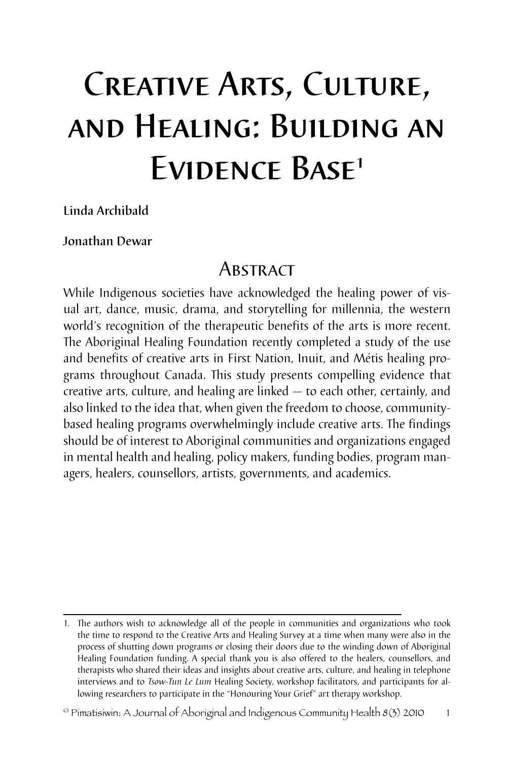# Creative Arts, Culture, and Healing: Building an Evidence Base1

Linda Archibald

## Jonathan Dewar

## **ABSTRACT**

While Indigenous societies have acknowledged the healing power of visual art, dance, music, drama, and storytelling for millennia, the western world's recognition of the therapeutic benefits of the arts is more recent. The Aboriginal Healing Foundation recently completed a study of the use and benefits of creative arts in First Nation, Inuit, and Métis healing programs throughout Canada. This study presents compelling evidence that creative arts, culture, and healing are linked — to each other, certainly, and also linked to the idea that, when given the freedom to choose, communitybased healing programs overwhelmingly include creative arts. The findings should be of interest to Aboriginal communities and organizations engaged in mental health and healing, policy makers, funding bodies, program managers, healers, counsellors, artists, governments, and academics.

<sup>1.</sup> The authors wish to acknowledge all of the people in communities and organizations who took the time to respond to the Creative Arts and Healing Survey at a time when many were also in the process of shutting down programs or closing their doors due to the winding down of Aboriginal Healing Foundation funding. A special thank you is also offered to the healers, counsellors, and therapists who shared their ideas and insights about creative arts, culture, and healing in telephone interviews and to *Tsow-Tun Le Lum* Healing Society, workshop facilitators, and participants for allowing researchers to participate in the "Honouring Your Grief" art therapy workshop.

 $^{\circ}$  Pimatisiwin: A Journal of Aboriginal and Indigenous Community Health 8(3) 2010  $1$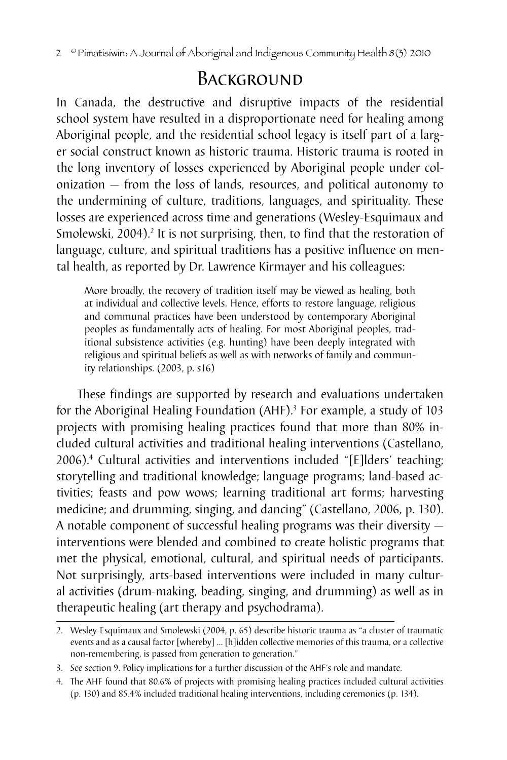2 <sup>©</sup> Pimatisiwin: A Journal of Aboriginal and Indigenous Community Health 8(3) 2010

## BACKGROUND

In Canada, the destructive and disruptive impacts of the residential school system have resulted in a disproportionate need for healing among Aboriginal people, and the residential school legacy is itself part of a larger social construct known as historic trauma. Historic trauma is rooted in the long inventory of losses experienced by Aboriginal people under colonization — from the loss of lands, resources, and political autonomy to the undermining of culture, traditions, languages, and spirituality. These losses are experienced across time and generations (Wesley-Esquimaux and Smolewski, 2004).<sup>2</sup> It is not surprising, then, to find that the restoration of language, culture, and spiritual traditions has a positive influence on mental health, as reported by Dr. Lawrence Kirmayer and his colleagues:

More broadly, the recovery of tradition itself may be viewed as healing, both at individual and collective levels. Hence, efforts to restore language, religious and communal practices have been understood by contemporary Aboriginal peoples as fundamentally acts of healing. For most Aboriginal peoples, traditional subsistence activities (e.g. hunting) have been deeply integrated with religious and spiritual beliefs as well as with networks of family and community relationships. (2003, p. s16)

These findings are supported by research and evaluations undertaken for the Aboriginal Healing Foundation (AHF).<sup>3</sup> For example, a study of 103 projects with promising healing practices found that more than 80% included cultural activities and traditional healing interventions (Castellano, 2006).4 Cultural activities and interventions included "[E]lders' teaching; storytelling and traditional knowledge; language programs; land-based activities; feasts and pow wows; learning traditional art forms; harvesting medicine; and drumming, singing, and dancing" (Castellano, 2006, p. 130). A notable component of successful healing programs was their diversity interventions were blended and combined to create holistic programs that met the physical, emotional, cultural, and spiritual needs of participants. Not surprisingly, arts-based interventions were included in many cultural activities (drum-making, beading, singing, and drumming) as well as in therapeutic healing (art therapy and psychodrama).

<sup>2.</sup> Wesley-Esquimaux and Smolewski (2004, p. 65) describe historic trauma as "a cluster of traumatic events and as a causal factor [whereby] … [h]idden collective memories of this trauma, or a collective non-remembering, is passed from generation to generation."

<sup>3.</sup> See section 9. Policy implications for a further discussion of the AHF's role and mandate.

<sup>4.</sup> The AHF found that 80.6% of projects with promising healing practices included cultural activities (p. 130) and 85.4% included traditional healing interventions, including ceremonies (p. 134).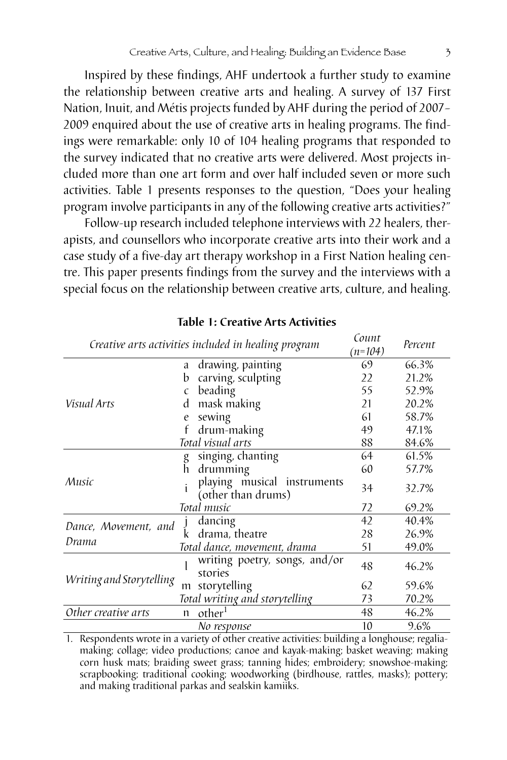Inspired by these findings, AHF undertook a further study to examine the relationship between creative arts and healing. A survey of 137 First Nation, Inuit, and Métis projects funded by AHF during the period of 2007– 2009 enquired about the use of creative arts in healing programs. The findings were remarkable: only 10 of 104 healing programs that responded to the survey indicated that no creative arts were delivered. Most projects included more than one art form and over half included seven or more such activities. Table 1 presents responses to the question, "Does your healing program involve participants in any of the following creative arts activities?"

Follow-up research included telephone interviews with 22 healers, therapists, and counsellors who incorporate creative arts into their work and a case study of a five-day art therapy workshop in a First Nation healing centre. This paper presents findings from the survey and the interviews with a special focus on the relationship between creative arts, culture, and healing.

| Creative arts activities included in healing program |            | Count<br>$(n=104)$                                | Percent |       |
|------------------------------------------------------|------------|---------------------------------------------------|---------|-------|
|                                                      | a          | drawing, painting                                 | 69      | 66.3% |
| Visual Arts                                          | b          | carving, sculpting                                | 22      | 21.2% |
|                                                      | $\epsilon$ | beading                                           | 55      | 52.9% |
|                                                      | d          | mask making                                       | 21      | 20.2% |
|                                                      | e          | sewing                                            | 61      | 58.7% |
|                                                      |            | drum-making                                       | 49      | 47.1% |
|                                                      |            | Total visual arts                                 | 88      | 84.6% |
|                                                      | g          | singing, chanting                                 | 64      | 61.5% |
|                                                      | ĥ          | drumming                                          | 60      | 57.7% |
| Music                                                | î          | playing musical instruments<br>(other than drums) | 34      | 32.7% |
|                                                      |            | Total music                                       | 72      | 69.2% |
| Dance, Movement, and<br>Drama                        |            | dancing                                           | 42      | 40.4% |
|                                                      | k          | drama, theatre                                    | 28      | 26.9% |
|                                                      |            | Total dance, movement, drama                      | 51      | 49.0% |
| Writing and Storytelling                             |            | writing poetry, songs, and/or<br>stories          | 48      | 46.2% |
|                                                      | m          | storytelling                                      | 62      | 59.6% |
|                                                      |            | Total writing and storytelling                    | 73      | 70.2% |
| Other creative arts                                  | n          | other <sup>1</sup>                                |         | 46.2% |
|                                                      |            | No response                                       | 10      | 9.6%  |

#### **Table 1: Creative Arts Activities**

1. Respondents wrote in a variety of other creative activities: building a longhouse; regaliamaking; collage; video productions; canoe and kayak-making; basket weaving; making corn husk mats; braiding sweet grass; tanning hides; embroidery; snowshoe-making; scrapbooking; traditional cooking; woodworking (birdhouse, rattles, masks); pottery; and making traditional parkas and sealskin kamiiks.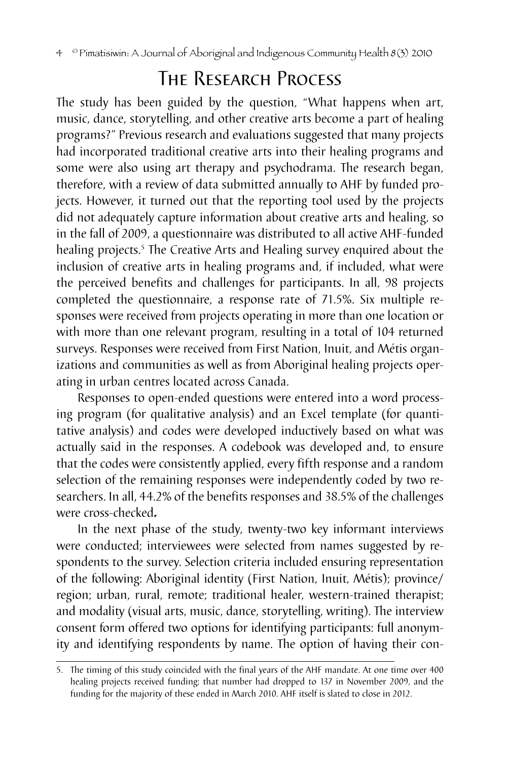# The Research Process

The study has been guided by the question, "What happens when art, music, dance, storytelling, and other creative arts become a part of healing programs?" Previous research and evaluations suggested that many projects had incorporated traditional creative arts into their healing programs and some were also using art therapy and psychodrama. The research began, therefore, with a review of data submitted annually to AHF by funded projects. However, it turned out that the reporting tool used by the projects did not adequately capture information about creative arts and healing, so in the fall of 2009, a questionnaire was distributed to all active AHF-funded healing projects.<sup>5</sup> The Creative Arts and Healing survey enquired about the inclusion of creative arts in healing programs and, if included, what were the perceived benefits and challenges for participants. In all, 98 projects completed the questionnaire, a response rate of 71.5%. Six multiple responses were received from projects operating in more than one location or with more than one relevant program, resulting in a total of 104 returned surveys. Responses were received from First Nation, Inuit, and Métis organizations and communities as well as from Aboriginal healing projects operating in urban centres located across Canada.

Responses to open-ended questions were entered into a word processing program (for qualitative analysis) and an Excel template (for quantitative analysis) and codes were developed inductively based on what was actually said in the responses. A codebook was developed and, to ensure that the codes were consistently applied, every fifth response and a random selection of the remaining responses were independently coded by two researchers. In all, 44.2% of the benefits responses and 38.5% of the challenges were cross-checked*.*

In the next phase of the study, twenty-two key informant interviews were conducted; interviewees were selected from names suggested by respondents to the survey. Selection criteria included ensuring representation of the following: Aboriginal identity (First Nation, Inuit, Métis); province/ region; urban, rural, remote; traditional healer, western-trained therapist; and modality (visual arts, music, dance, storytelling, writing). The interview consent form offered two options for identifying participants: full anonymity and identifying respondents by name. The option of having their con-

<sup>5.</sup> The timing of this study coincided with the final years of the AHF mandate. At one time over 400 healing projects received funding; that number had dropped to 137 in November 2009, and the funding for the majority of these ended in March 2010. AHF itself is slated to close in 2012.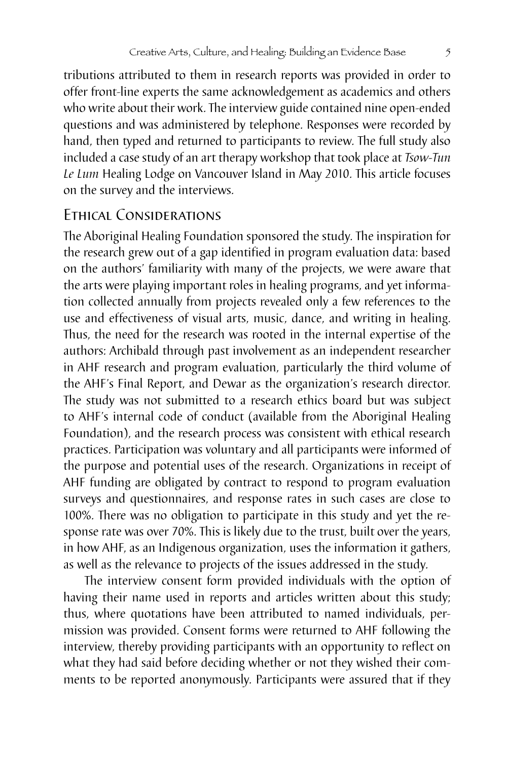tributions attributed to them in research reports was provided in order to offer front-line experts the same acknowledgement as academics and others who write about their work. The interview guide contained nine open-ended questions and was administered by telephone. Responses were recorded by hand, then typed and returned to participants to review. The full study also included a case study of an art therapy workshop that took place at *Tsow-Tun Le Lum* Healing Lodge on Vancouver Island in May 2010. This article focuses on the survey and the interviews.

## Ethical Considerations

The Aboriginal Healing Foundation sponsored the study. The inspiration for the research grew out of a gap identified in program evaluation data: based on the authors' familiarity with many of the projects, we were aware that the arts were playing important roles in healing programs, and yet information collected annually from projects revealed only a few references to the use and effectiveness of visual arts, music, dance, and writing in healing. Thus, the need for the research was rooted in the internal expertise of the authors: Archibald through past involvement as an independent researcher in AHF research and program evaluation, particularly the third volume of the AHF's Final Report, and Dewar as the organization's research director. The study was not submitted to a research ethics board but was subject to AHF's internal code of conduct (available from the Aboriginal Healing Foundation), and the research process was consistent with ethical research practices. Participation was voluntary and all participants were informed of the purpose and potential uses of the research. Organizations in receipt of AHF funding are obligated by contract to respond to program evaluation surveys and questionnaires, and response rates in such cases are close to 100%. There was no obligation to participate in this study and yet the response rate was over 70%. This is likely due to the trust, built over the years, in how AHF, as an Indigenous organization, uses the information it gathers, as well as the relevance to projects of the issues addressed in the study.

The interview consent form provided individuals with the option of having their name used in reports and articles written about this study; thus, where quotations have been attributed to named individuals, permission was provided. Consent forms were returned to AHF following the interview, thereby providing participants with an opportunity to reflect on what they had said before deciding whether or not they wished their comments to be reported anonymously. Participants were assured that if they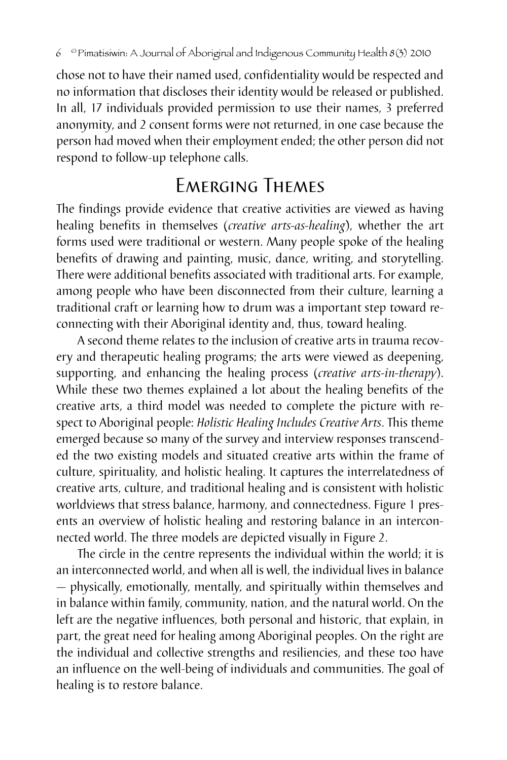chose not to have their named used, confidentiality would be respected and no information that discloses their identity would be released or published. In all, 17 individuals provided permission to use their names, 3 preferred anonymity, and 2 consent forms were not returned, in one case because the person had moved when their employment ended; the other person did not respond to follow-up telephone calls.

# Emerging Themes

The findings provide evidence that creative activities are viewed as having healing benefits in themselves (*creative arts-as-healing*), whether the art forms used were traditional or western. Many people spoke of the healing benefits of drawing and painting, music, dance, writing, and storytelling. There were additional benefits associated with traditional arts. For example, among people who have been disconnected from their culture, learning a traditional craft or learning how to drum was a important step toward reconnecting with their Aboriginal identity and, thus, toward healing.

A second theme relates to the inclusion of creative arts in trauma recovery and therapeutic healing programs; the arts were viewed as deepening, supporting, and enhancing the healing process (*creative arts-in-therapy*). While these two themes explained a lot about the healing benefits of the creative arts, a third model was needed to complete the picture with respect to Aboriginal people: *Holistic Healing Includes Creative Arts*. This theme emerged because so many of the survey and interview responses transcended the two existing models and situated creative arts within the frame of culture, spirituality, and holistic healing. It captures the interrelatedness of creative arts, culture, and traditional healing and is consistent with holistic worldviews that stress balance, harmony, and connectedness. Figure 1 presents an overview of holistic healing and restoring balance in an interconnected world. The three models are depicted visually in Figure 2.

The circle in the centre represents the individual within the world; it is an interconnected world, and when all is well, the individual lives in balance — physically, emotionally, mentally, and spiritually within themselves and in balance within family, community, nation, and the natural world. On the left are the negative influences, both personal and historic, that explain, in part, the great need for healing among Aboriginal peoples. On the right are the individual and collective strengths and resiliencies, and these too have an influence on the well-being of individuals and communities. The goal of healing is to restore balance.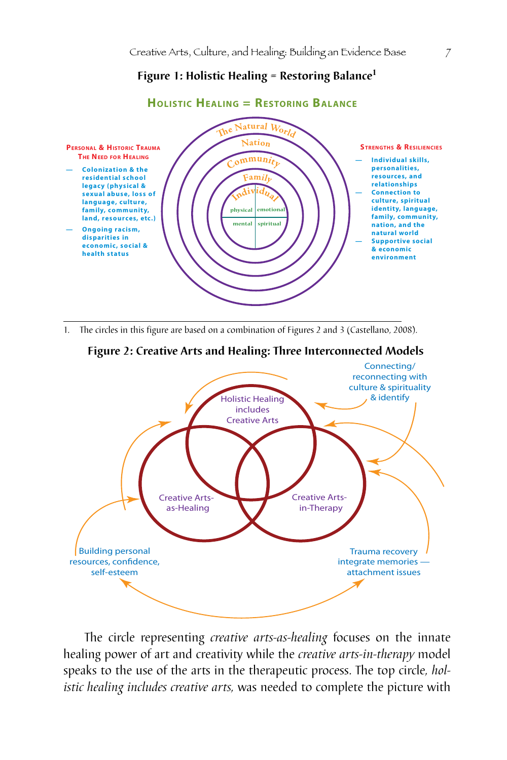## **Figure 1: Holistic Healing = Restoring Balance<sup>1</sup>**



1. The circles in this figure are based on a combination of Figures 2 and 3 (Castellano, 2008).





The circle representing *creative arts-as-healing* focuses on the innate healing power of art and creativity while the *creative arts-in-therapy* model speaks to the use of the arts in the therapeutic process. The top circle*, holistic healing includes creative arts,* was needed to complete the picture with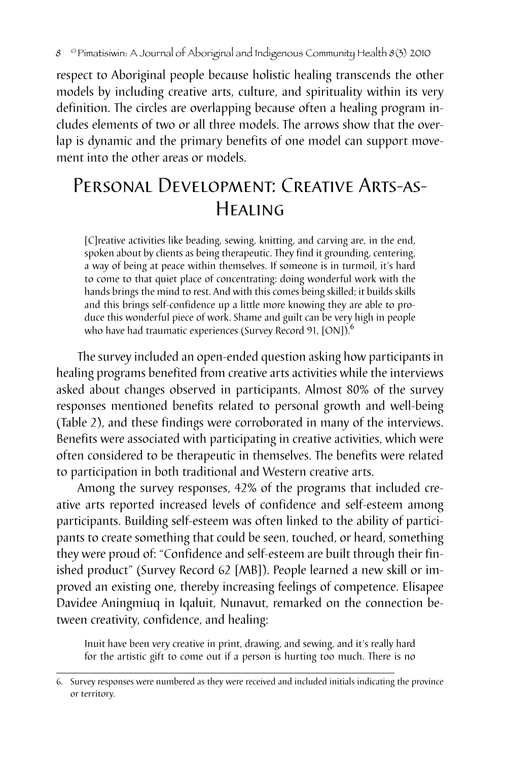respect to Aboriginal people because holistic healing transcends the other models by including creative arts, culture, and spirituality within its very definition. The circles are overlapping because often a healing program includes elements of two or all three models. The arrows show that the overlap is dynamic and the primary benefits of one model can support movement into the other areas or models.

# Personal Development: Creative Arts-as-Healing

[C]reative activities like beading, sewing, knitting, and carving are, in the end, spoken about by clients as being therapeutic. They find it grounding, centering, a way of being at peace within themselves. If someone is in turmoil, it's hard to come to that quiet place of concentrating: doing wonderful work with the hands brings the mind to rest. And with this comes being skilled; it builds skills and this brings self-confidence up a little more knowing they are able to produce this wonderful piece of work. Shame and guilt can be very high in people who have had traumatic experiences (Survey Record 91, [ON]).<sup>6</sup>

The survey included an open-ended question asking how participants in healing programs benefited from creative arts activities while the interviews asked about changes observed in participants. Almost 80% of the survey responses mentioned benefits related to personal growth and well-being (Table 2), and these findings were corroborated in many of the interviews. Benefits were associated with participating in creative activities, which were often considered to be therapeutic in themselves. The benefits were related to participation in both traditional and Western creative arts.

Among the survey responses, 42% of the programs that included creative arts reported increased levels of confidence and self-esteem among participants. Building self-esteem was often linked to the ability of participants to create something that could be seen, touched, or heard, something they were proud of: "Confidence and self-esteem are built through their finished product" (Survey Record 62 [MB]). People learned a new skill or improved an existing one, thereby increasing feelings of competence. Elisapee Davidee Aningmiuq in Iqaluit, Nunavut, remarked on the connection between creativity, confidence, and healing:

Inuit have been very creative in print, drawing, and sewing, and it's really hard for the artistic gift to come out if a person is hurting too much. There is no

<sup>6.</sup> Survey responses were numbered as they were received and included initials indicating the province or territory.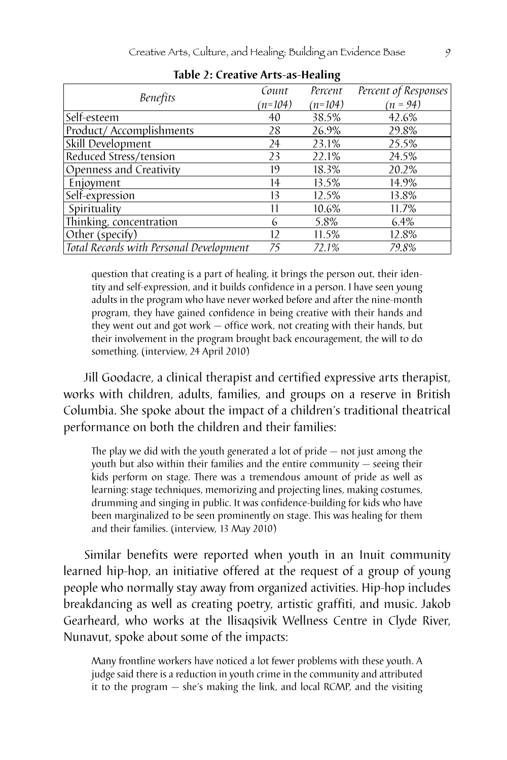|                                         | Count     | Percent   | Percent of Responses |
|-----------------------------------------|-----------|-----------|----------------------|
| <b>Benefits</b>                         | $(n=104)$ | $(n=104)$ | $(n = 94)$           |
| Self-esteem                             | 40        | 38.5%     | 42.6%                |
| Product/Accomplishments                 | 28        | 26.9%     | 29.8%                |
| Skill Development                       | 24        | 23.1%     | 25.5%                |
| Reduced Stress/tension                  | 23        | 22.1%     | 24.5%                |
| Openness and Creativity                 | 19        | 18.3%     | 20.2%                |
| Enjoyment                               | 14        | 13.5%     | 14.9%                |
| Self-expression                         | 13        | 12.5%     | 13.8%                |
| Spirituality                            | 11        | 10.6%     | 11.7%                |
| Thinking, concentration                 | 6         | 5.8%      | 6.4%                 |
| Other (specify)                         | 12        | 11.5%     | 12.8%                |
| Total Records with Personal Development | 75        | 72.1%     | 79.8%                |

**Table 2: Creative Arts-as-Healing**

question that creating is a part of healing, it brings the person out, their identity and self-expression, and it builds confidence in a person. I have seen young adults in the program who have never worked before and after the nine-month program, they have gained confidence in being creative with their hands and they went out and got work — office work, not creating with their hands, but their involvement in the program brought back encouragement, the will to do something. (interview, 24 April 2010)

Jill Goodacre, a clinical therapist and certified expressive arts therapist, works with children, adults, families, and groups on a reserve in British Columbia. She spoke about the impact of a children's traditional theatrical performance on both the children and their families:

The play we did with the youth generated a lot of pride — not just among the youth but also within their families and the entire community — seeing their kids perform on stage. There was a tremendous amount of pride as well as learning: stage techniques, memorizing and projecting lines, making costumes, drumming and singing in public. It was confidence-building for kids who have been marginalized to be seen prominently on stage. This was healing for them and their families. (interview, 13 May 2010)

Similar benefits were reported when youth in an Inuit community learned hip-hop, an initiative offered at the request of a group of young people who normally stay away from organized activities. Hip-hop includes breakdancing as well as creating poetry, artistic graffiti, and music. Jakob Gearheard, who works at the Ilisaqsivik Wellness Centre in Clyde River, Nunavut, spoke about some of the impacts:

Many frontline workers have noticed a lot fewer problems with these youth. A judge said there is a reduction in youth crime in the community and attributed it to the program — she's making the link, and local RCMP, and the visiting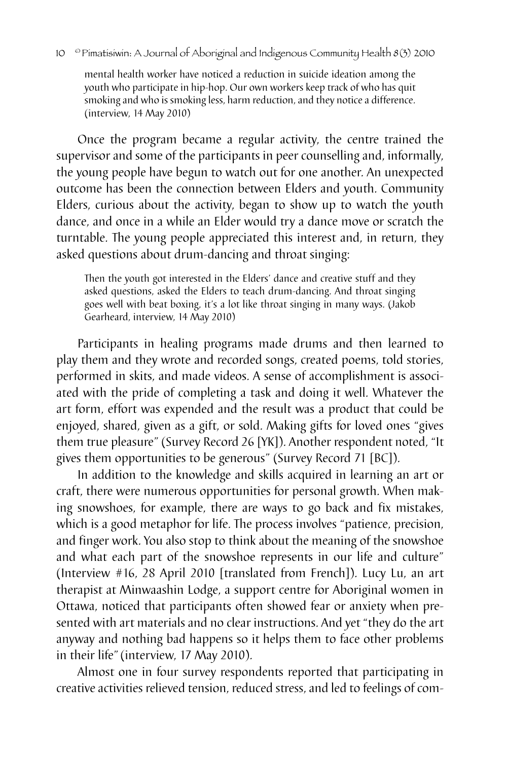mental health worker have noticed a reduction in suicide ideation among the youth who participate in hip-hop. Our own workers keep track of who has quit smoking and who is smoking less, harm reduction, and they notice a difference. (interview, 14 May 2010)

Once the program became a regular activity, the centre trained the supervisor and some of the participants in peer counselling and, informally, the young people have begun to watch out for one another. An unexpected outcome has been the connection between Elders and youth. Community Elders, curious about the activity, began to show up to watch the youth dance, and once in a while an Elder would try a dance move or scratch the turntable. The young people appreciated this interest and, in return, they asked questions about drum-dancing and throat singing:

Then the youth got interested in the Elders' dance and creative stuff and they asked questions, asked the Elders to teach drum-dancing. And throat singing goes well with beat boxing, it's a lot like throat singing in many ways. (Jakob Gearheard, interview, 14 May 2010)

Participants in healing programs made drums and then learned to play them and they wrote and recorded songs, created poems, told stories, performed in skits, and made videos. A sense of accomplishment is associated with the pride of completing a task and doing it well. Whatever the art form, effort was expended and the result was a product that could be enjoyed, shared, given as a gift, or sold. Making gifts for loved ones "gives them true pleasure" (Survey Record 26 [YK]). Another respondent noted, "It gives them opportunities to be generous" (Survey Record 71 [BC]).

In addition to the knowledge and skills acquired in learning an art or craft, there were numerous opportunities for personal growth. When making snowshoes, for example, there are ways to go back and fix mistakes, which is a good metaphor for life. The process involves "patience, precision, and finger work. You also stop to think about the meaning of the snowshoe and what each part of the snowshoe represents in our life and culture" (Interview #16, 28 April 2010 [translated from French]). Lucy Lu, an art therapist at Minwaashin Lodge, a support centre for Aboriginal women in Ottawa, noticed that participants often showed fear or anxiety when presented with art materials and no clear instructions. And yet "they do the art anyway and nothing bad happens so it helps them to face other problems in their life"(interview, 17 May 2010).

Almost one in four survey respondents reported that participating in creative activities relieved tension, reduced stress, and led to feelings of com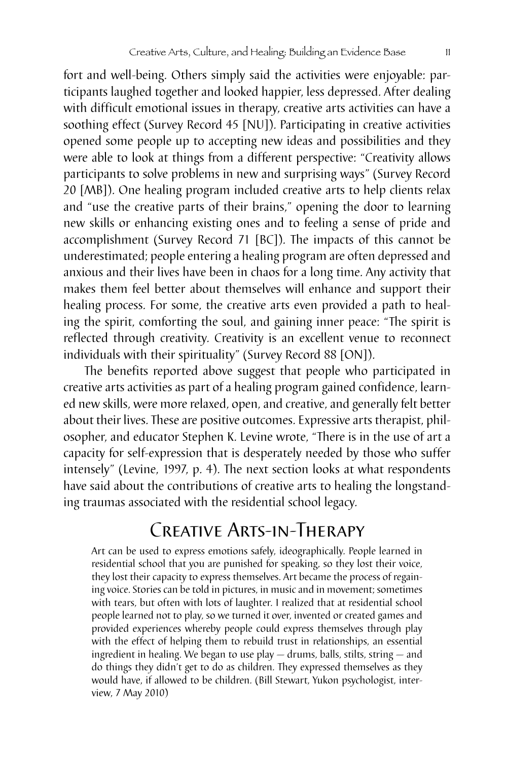fort and well-being. Others simply said the activities were enjoyable: participants laughed together and looked happier, less depressed. After dealing with difficult emotional issues in therapy, creative arts activities can have a soothing effect (Survey Record 45 [NU]). Participating in creative activities opened some people up to accepting new ideas and possibilities and they were able to look at things from a different perspective: "Creativity allows participants to solve problems in new and surprising ways" (Survey Record 20 [MB]). One healing program included creative arts to help clients relax and "use the creative parts of their brains," opening the door to learning new skills or enhancing existing ones and to feeling a sense of pride and accomplishment (Survey Record 71 [BC]). The impacts of this cannot be underestimated; people entering a healing program are often depressed and anxious and their lives have been in chaos for a long time. Any activity that makes them feel better about themselves will enhance and support their healing process. For some, the creative arts even provided a path to healing the spirit, comforting the soul, and gaining inner peace: "The spirit is reflected through creativity. Creativity is an excellent venue to reconnect individuals with their spirituality" (Survey Record 88 [ON]).

The benefits reported above suggest that people who participated in creative arts activities as part of a healing program gained confidence, learned new skills, were more relaxed, open, and creative, and generally felt better about their lives. These are positive outcomes. Expressive arts therapist, philosopher, and educator Stephen K. Levine wrote, "There is in the use of art a capacity for self-expression that is desperately needed by those who suffer intensely" (Levine, 1997, p. 4). The next section looks at what respondents have said about the contributions of creative arts to healing the longstanding traumas associated with the residential school legacy.

## Creative Arts-in-Therapy

Art can be used to express emotions safely, ideographically. People learned in residential school that you are punished for speaking, so they lost their voice, they lost their capacity to express themselves. Art became the process of regaining voice. Stories can be told in pictures, in music and in movement; sometimes with tears, but often with lots of laughter. I realized that at residential school people learned not to play, so we turned it over, invented or created games and provided experiences whereby people could express themselves through play with the effect of helping them to rebuild trust in relationships, an essential ingredient in healing. We began to use play — drums, balls, stilts, string — and do things they didn't get to do as children. They expressed themselves as they would have, if allowed to be children. (Bill Stewart, Yukon psychologist, interview, 7 May 2010)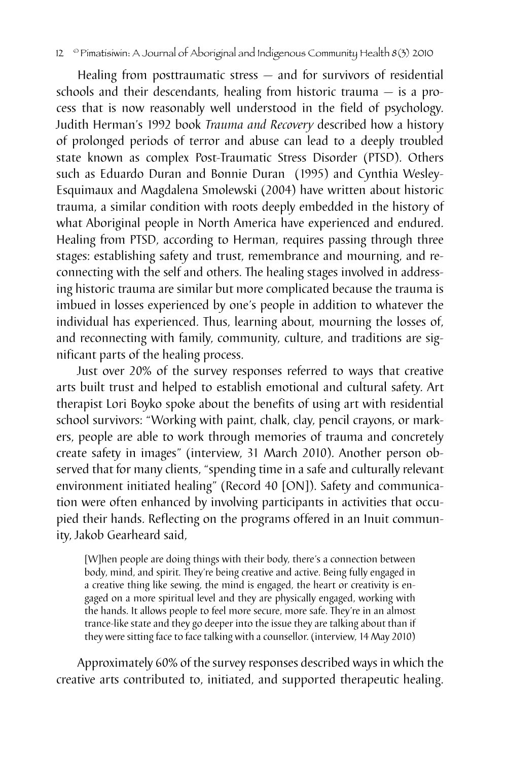#### 12 <sup>©</sup> Pimatisiwin: A Journal of Aboriginal and Indigenous Community Health 8(3) 2010

Healing from posttraumatic stress — and for survivors of residential schools and their descendants, healing from historic trauma — is a process that is now reasonably well understood in the field of psychology. Judith Herman's 1992 book *Trauma and Recovery* described how a history of prolonged periods of terror and abuse can lead to a deeply troubled state known as complex Post-Traumatic Stress Disorder (PTSD). Others such as Eduardo Duran and Bonnie Duran (1995) and Cynthia Wesley-Esquimaux and Magdalena Smolewski (2004) have written about historic trauma, a similar condition with roots deeply embedded in the history of what Aboriginal people in North America have experienced and endured. Healing from PTSD, according to Herman, requires passing through three stages: establishing safety and trust, remembrance and mourning, and reconnecting with the self and others. The healing stages involved in addressing historic trauma are similar but more complicated because the trauma is imbued in losses experienced by one's people in addition to whatever the individual has experienced. Thus, learning about, mourning the losses of, and reconnecting with family, community, culture, and traditions are significant parts of the healing process.

Just over 20% of the survey responses referred to ways that creative arts built trust and helped to establish emotional and cultural safety. Art therapist Lori Boyko spoke about the benefits of using art with residential school survivors: "Working with paint, chalk, clay, pencil crayons, or markers, people are able to work through memories of trauma and concretely create safety in images" (interview, 31 March 2010). Another person observed that for many clients, "spending time in a safe and culturally relevant environment initiated healing" (Record 40 [ON]). Safety and communication were often enhanced by involving participants in activities that occupied their hands. Reflecting on the programs offered in an Inuit community, Jakob Gearheard said,

[W]hen people are doing things with their body, there's a connection between body, mind, and spirit. They're being creative and active. Being fully engaged in a creative thing like sewing, the mind is engaged, the heart or creativity is engaged on a more spiritual level and they are physically engaged, working with the hands. It allows people to feel more secure, more safe. They're in an almost trance-like state and they go deeper into the issue they are talking about than if they were sitting face to face talking with a counsellor. (interview, 14 May 2010)

Approximately 60% of the survey responses described ways in which the creative arts contributed to, initiated, and supported therapeutic healing.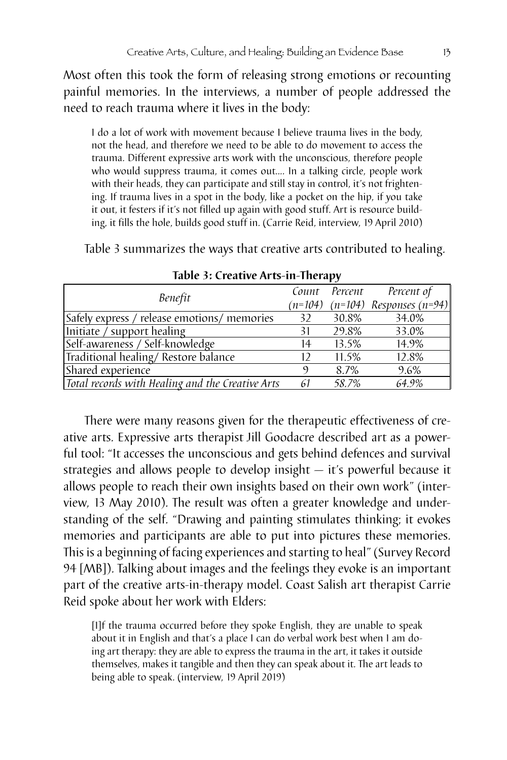Most often this took the form of releasing strong emotions or recounting painful memories. In the interviews, a number of people addressed the need to reach trauma where it lives in the body:

I do a lot of work with movement because I believe trauma lives in the body, not the head, and therefore we need to be able to do movement to access the trauma. Different expressive arts work with the unconscious, therefore people who would suppress trauma, it comes out.... In a talking circle, people work with their heads, they can participate and still stay in control, it's not frightening. If trauma lives in a spot in the body, like a pocket on the hip, if you take it out, it festers if it's not filled up again with good stuff. Art is resource building, it fills the hole, builds good stuff in. (Carrie Reid, interview, 19 April 2010)

Table 3 summarizes the ways that creative arts contributed to healing.

| Benefit                                          |     | Count Percent | Percent of                             |
|--------------------------------------------------|-----|---------------|----------------------------------------|
|                                                  |     |               | $(n=104)$ $(n=104)$ Responses $(n=94)$ |
| Safely express / release emotions/ memories      | 32  | 30.8%         | 34.0%                                  |
| Initiate / support healing                       | 31  | 29.8%         | 33.0%                                  |
| Self-awareness / Self-knowledge                  | 14  | 13.5%         | 14.9%                                  |
| Traditional healing/Restore balance              | 12  | 11.5%         | 12.8%                                  |
| Shared experience                                | 9   | 8.7%          | 9.6%                                   |
| Total records with Healing and the Creative Arts | -61 | 58.7%         | 64.9%                                  |

**Table 3: Creative Arts-in-Therapy** 

There were many reasons given for the therapeutic effectiveness of creative arts. Expressive arts therapist Jill Goodacre described art as a powerful tool: "It accesses the unconscious and gets behind defences and survival strategies and allows people to develop insight — it's powerful because it allows people to reach their own insights based on their own work" (interview, 13 May 2010). The result was often a greater knowledge and understanding of the self. "Drawing and painting stimulates thinking; it evokes memories and participants are able to put into pictures these memories. This is a beginning of facing experiences and starting to heal" (Survey Record 94 [MB]). Talking about images and the feelings they evoke is an important part of the creative arts-in-therapy model. Coast Salish art therapist Carrie Reid spoke about her work with Elders:

[I]f the trauma occurred before they spoke English, they are unable to speak about it in English and that's a place I can do verbal work best when I am doing art therapy: they are able to express the trauma in the art, it takes it outside themselves, makes it tangible and then they can speak about it. The art leads to being able to speak. (interview, 19 April 2019)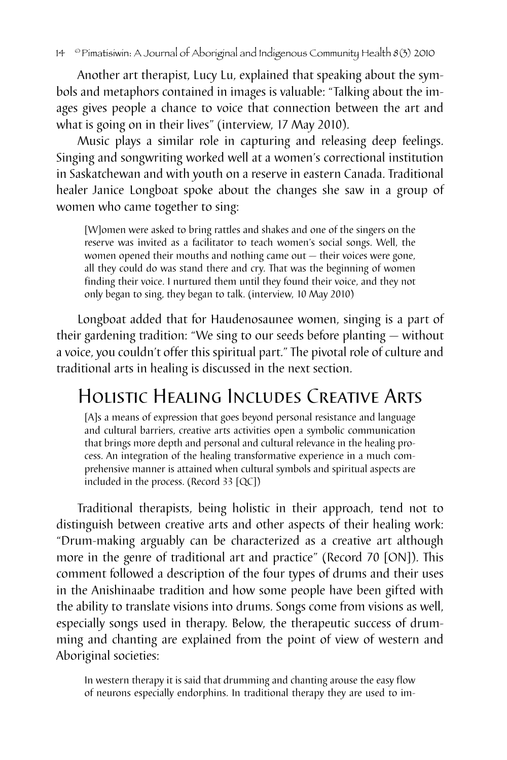Another art therapist, Lucy Lu, explained that speaking about the symbols and metaphors contained in images is valuable: "Talking about the images gives people a chance to voice that connection between the art and what is going on in their lives" (interview, 17 May 2010).

Music plays a similar role in capturing and releasing deep feelings. Singing and songwriting worked well at a women's correctional institution in Saskatchewan and with youth on a reserve in eastern Canada. Traditional healer Janice Longboat spoke about the changes she saw in a group of women who came together to sing:

[W]omen were asked to bring rattles and shakes and one of the singers on the reserve was invited as a facilitator to teach women's social songs. Well, the women opened their mouths and nothing came out — their voices were gone, all they could do was stand there and cry. That was the beginning of women finding their voice. I nurtured them until they found their voice, and they not only began to sing, they began to talk. (interview, 10 May 2010)

Longboat added that for Haudenosaunee women, singing is a part of their gardening tradition: "We sing to our seeds before planting — without a voice, you couldn't offer this spiritual part." The pivotal role of culture and traditional arts in healing is discussed in the next section.

# Holistic Healing Includes Creative Arts

[A]s a means of expression that goes beyond personal resistance and language and cultural barriers, creative arts activities open a symbolic communication that brings more depth and personal and cultural relevance in the healing process. An integration of the healing transformative experience in a much comprehensive manner is attained when cultural symbols and spiritual aspects are included in the process. (Record 33 [QC])

Traditional therapists, being holistic in their approach, tend not to distinguish between creative arts and other aspects of their healing work: "Drum-making arguably can be characterized as a creative art although more in the genre of traditional art and practice" (Record 70 [ON]). This comment followed a description of the four types of drums and their uses in the Anishinaabe tradition and how some people have been gifted with the ability to translate visions into drums. Songs come from visions as well, especially songs used in therapy. Below, the therapeutic success of drumming and chanting are explained from the point of view of western and Aboriginal societies:

In western therapy it is said that drumming and chanting arouse the easy flow of neurons especially endorphins. In traditional therapy they are used to im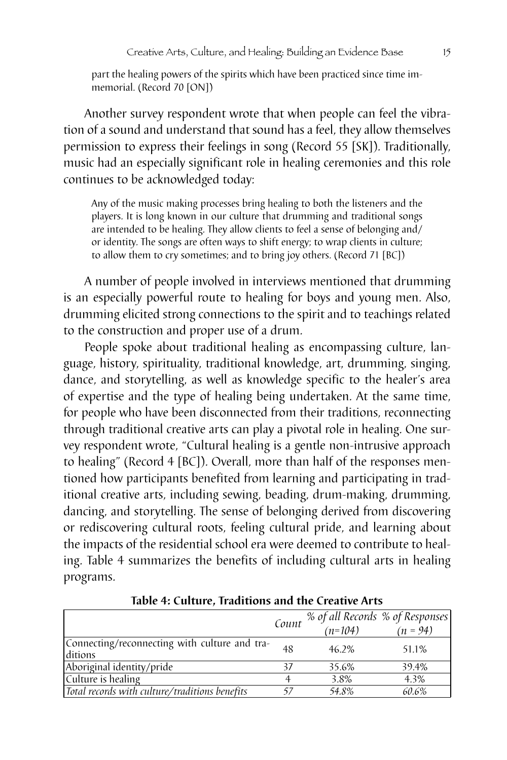part the healing powers of the spirits which have been practiced since time immemorial. (Record 70 [ON])

Another survey respondent wrote that when people can feel the vibration of a sound and understand that sound has a feel, they allow themselves permission to express their feelings in song (Record 55 [SK]). Traditionally, music had an especially significant role in healing ceremonies and this role continues to be acknowledged today:

Any of the music making processes bring healing to both the listeners and the players. It is long known in our culture that drumming and traditional songs are intended to be healing. They allow clients to feel a sense of belonging and/ or identity. The songs are often ways to shift energy; to wrap clients in culture; to allow them to cry sometimes; and to bring joy others. (Record 71 [BC])

A number of people involved in interviews mentioned that drumming is an especially powerful route to healing for boys and young men. Also, drumming elicited strong connections to the spirit and to teachings related to the construction and proper use of a drum.

People spoke about traditional healing as encompassing culture, language, history, spirituality, traditional knowledge, art, drumming, singing, dance, and storytelling, as well as knowledge specific to the healer's area of expertise and the type of healing being undertaken. At the same time, for people who have been disconnected from their traditions, reconnecting through traditional creative arts can play a pivotal role in healing. One survey respondent wrote, "Cultural healing is a gentle non-intrusive approach to healing" (Record 4 [BC]). Overall, more than half of the responses mentioned how participants benefited from learning and participating in traditional creative arts, including sewing, beading, drum-making, drumming, dancing, and storytelling. The sense of belonging derived from discovering or rediscovering cultural roots, feeling cultural pride, and learning about the impacts of the residential school era were deemed to contribute to healing. Table 4 summarizes the benefits of including cultural arts in healing programs.

|                                                          | Count | % of all Records % of Responses<br>$(n=104)$ | $(n = 94)$ |
|----------------------------------------------------------|-------|----------------------------------------------|------------|
| Connecting/reconnecting with culture and tra-<br>ditions | 48    | 46.2%                                        | 51.1%      |
| Aboriginal identity/pride                                | 37    | 35.6%                                        | 39.4%      |
| Culture is healing                                       |       | 3.8%                                         | 4.3%       |
| Total records with culture/traditions benefits           |       | 54.8%                                        | 60.6%      |

**Table 4: Culture, Traditions and the Creative Arts**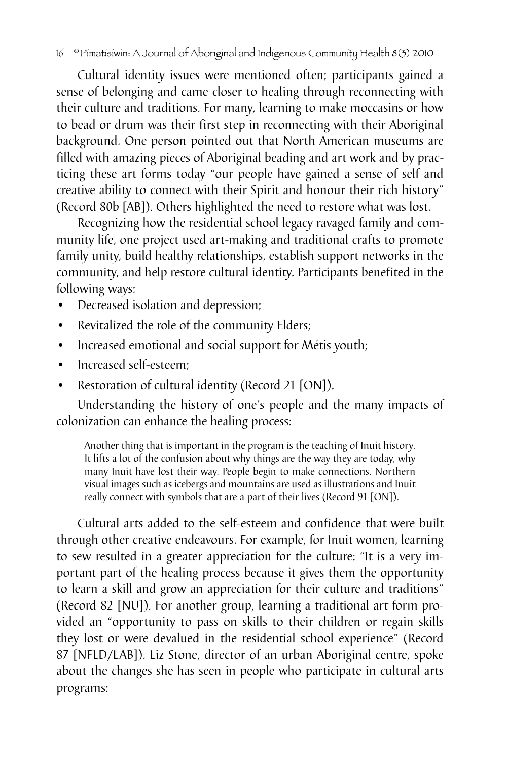#### 16 © Pimatisiwin: A Journal of Aboriginal and Indigenous Community Health 8(3) 2010

Cultural identity issues were mentioned often; participants gained a sense of belonging and came closer to healing through reconnecting with their culture and traditions. For many, learning to make moccasins or how to bead or drum was their first step in reconnecting with their Aboriginal background. One person pointed out that North American museums are filled with amazing pieces of Aboriginal beading and art work and by practicing these art forms today "our people have gained a sense of self and creative ability to connect with their Spirit and honour their rich history" (Record 80b [AB]). Others highlighted the need to restore what was lost.

Recognizing how the residential school legacy ravaged family and community life, one project used art-making and traditional crafts to promote family unity, build healthy relationships, establish support networks in the community, and help restore cultural identity. Participants benefited in the following ways:

- Decreased isolation and depression;
- Revitalized the role of the community Elders;
- Increased emotional and social support for Métis youth;
- Increased self-esteem:
- Restoration of cultural identity (Record 21 [ON]).

Understanding the history of one's people and the many impacts of colonization can enhance the healing process:

Another thing that is important in the program is the teaching of Inuit history. It lifts a lot of the confusion about why things are the way they are today, why many Inuit have lost their way. People begin to make connections. Northern visual images such as icebergs and mountains are used as illustrations and Inuit really connect with symbols that are a part of their lives (Record 91 [ON]).

Cultural arts added to the self-esteem and confidence that were built through other creative endeavours. For example, for Inuit women, learning to sew resulted in a greater appreciation for the culture: "It is a very important part of the healing process because it gives them the opportunity to learn a skill and grow an appreciation for their culture and traditions" (Record 82 [NU]). For another group, learning a traditional art form provided an "opportunity to pass on skills to their children or regain skills they lost or were devalued in the residential school experience" (Record 87 [NFLD/LAB]). Liz Stone, director of an urban Aboriginal centre, spoke about the changes she has seen in people who participate in cultural arts programs: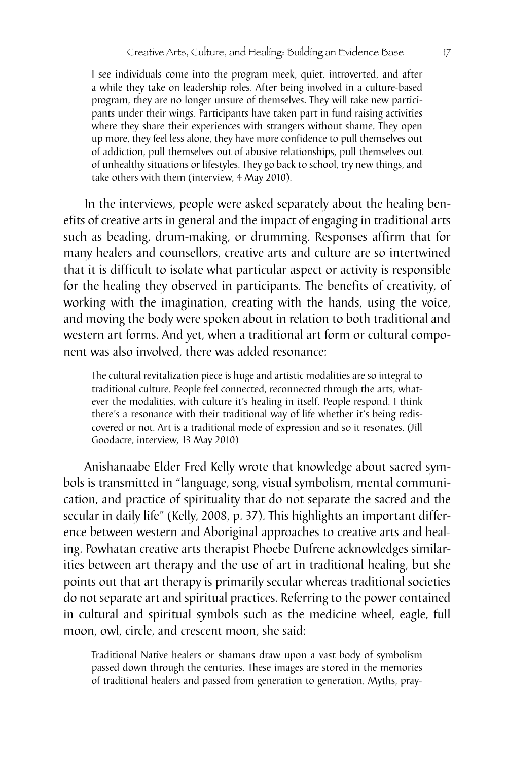I see individuals come into the program meek, quiet, introverted, and after a while they take on leadership roles. After being involved in a culture-based program, they are no longer unsure of themselves. They will take new participants under their wings. Participants have taken part in fund raising activities where they share their experiences with strangers without shame. They open up more, they feel less alone, they have more confidence to pull themselves out of addiction, pull themselves out of abusive relationships, pull themselves out of unhealthy situations or lifestyles. They go back to school, try new things, and take others with them (interview, 4 May 2010).

In the interviews, people were asked separately about the healing benefits of creative arts in general and the impact of engaging in traditional arts such as beading, drum-making, or drumming. Responses affirm that for many healers and counsellors, creative arts and culture are so intertwined that it is difficult to isolate what particular aspect or activity is responsible for the healing they observed in participants. The benefits of creativity, of working with the imagination, creating with the hands, using the voice, and moving the body were spoken about in relation to both traditional and western art forms. And yet, when a traditional art form or cultural component was also involved, there was added resonance:

The cultural revitalization piece is huge and artistic modalities are so integral to traditional culture. People feel connected, reconnected through the arts, whatever the modalities, with culture it's healing in itself. People respond. I think there's a resonance with their traditional way of life whether it's being rediscovered or not. Art is a traditional mode of expression and so it resonates. (Jill Goodacre, interview, 13 May 2010)

Anishanaabe Elder Fred Kelly wrote that knowledge about sacred symbols is transmitted in "language, song, visual symbolism, mental communication, and practice of spirituality that do not separate the sacred and the secular in daily life" (Kelly, 2008, p. 37). This highlights an important difference between western and Aboriginal approaches to creative arts and healing. Powhatan creative arts therapist Phoebe Dufrene acknowledges similarities between art therapy and the use of art in traditional healing, but she points out that art therapy is primarily secular whereas traditional societies do not separate art and spiritual practices. Referring to the power contained in cultural and spiritual symbols such as the medicine wheel, eagle, full moon, owl, circle, and crescent moon, she said:

Traditional Native healers or shamans draw upon a vast body of symbolism passed down through the centuries. These images are stored in the memories of traditional healers and passed from generation to generation. Myths, pray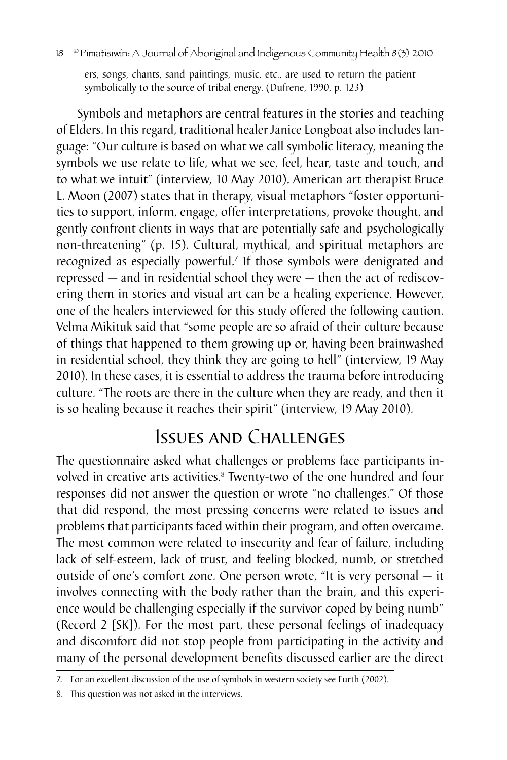ers, songs, chants, sand paintings, music, etc., are used to return the patient symbolically to the source of tribal energy. (Dufrene, 1990, p. 123)

Symbols and metaphors are central features in the stories and teaching of Elders. In this regard, traditional healer Janice Longboat also includes language: "Our culture is based on what we call symbolic literacy, meaning the symbols we use relate to life, what we see, feel, hear, taste and touch, and to what we intuit" (interview, 10 May 2010). American art therapist Bruce L. Moon (2007) states that in therapy, visual metaphors "foster opportunities to support, inform, engage, offer interpretations, provoke thought, and gently confront clients in ways that are potentially safe and psychologically non-threatening" (p. 15). Cultural, mythical, and spiritual metaphors are recognized as especially powerful.7 If those symbols were denigrated and repressed — and in residential school they were — then the act of rediscovering them in stories and visual art can be a healing experience. However, one of the healers interviewed for this study offered the following caution. Velma Mikituk said that "some people are so afraid of their culture because of things that happened to them growing up or, having been brainwashed in residential school, they think they are going to hell" (interview, 19 May 2010). In these cases, it is essential to address the trauma before introducing culture. "The roots are there in the culture when they are ready, and then it is so healing because it reaches their spirit" (interview, 19 May 2010).

# Issues and Challenges

The questionnaire asked what challenges or problems face participants involved in creative arts activities.<sup>8</sup> Twenty-two of the one hundred and four responses did not answer the question or wrote "no challenges." Of those that did respond, the most pressing concerns were related to issues and problems that participants faced within their program, and often overcame. The most common were related to insecurity and fear of failure, including lack of self-esteem, lack of trust, and feeling blocked, numb, or stretched outside of one's comfort zone. One person wrote, "It is very personal — it involves connecting with the body rather than the brain, and this experience would be challenging especially if the survivor coped by being numb" (Record 2 [SK]). For the most part, these personal feelings of inadequacy and discomfort did not stop people from participating in the activity and many of the personal development benefits discussed earlier are the direct

<sup>7.</sup> For an excellent discussion of the use of symbols in western society see Furth (2002).

<sup>8.</sup> This question was not asked in the interviews.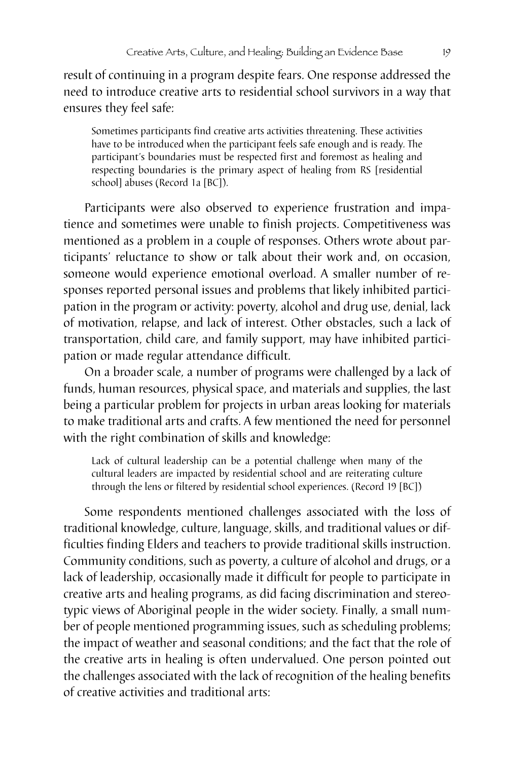result of continuing in a program despite fears. One response addressed the need to introduce creative arts to residential school survivors in a way that ensures they feel safe:

Sometimes participants find creative arts activities threatening. These activities have to be introduced when the participant feels safe enough and is ready. The participant's boundaries must be respected first and foremost as healing and respecting boundaries is the primary aspect of healing from RS [residential school] abuses (Record 1a [BC]).

Participants were also observed to experience frustration and impatience and sometimes were unable to finish projects. Competitiveness was mentioned as a problem in a couple of responses. Others wrote about participants' reluctance to show or talk about their work and, on occasion, someone would experience emotional overload. A smaller number of responses reported personal issues and problems that likely inhibited participation in the program or activity: poverty, alcohol and drug use, denial, lack of motivation, relapse, and lack of interest. Other obstacles, such a lack of transportation, child care, and family support, may have inhibited participation or made regular attendance difficult.

On a broader scale, a number of programs were challenged by a lack of funds, human resources, physical space, and materials and supplies, the last being a particular problem for projects in urban areas looking for materials to make traditional arts and crafts. A few mentioned the need for personnel with the right combination of skills and knowledge:

Lack of cultural leadership can be a potential challenge when many of the cultural leaders are impacted by residential school and are reiterating culture through the lens or filtered by residential school experiences. (Record 19 [BC])

Some respondents mentioned challenges associated with the loss of traditional knowledge, culture, language, skills, and traditional values or difficulties finding Elders and teachers to provide traditional skills instruction. Community conditions, such as poverty, a culture of alcohol and drugs, or a lack of leadership, occasionally made it difficult for people to participate in creative arts and healing programs, as did facing discrimination and stereotypic views of Aboriginal people in the wider society. Finally, a small number of people mentioned programming issues, such as scheduling problems; the impact of weather and seasonal conditions; and the fact that the role of the creative arts in healing is often undervalued. One person pointed out the challenges associated with the lack of recognition of the healing benefits of creative activities and traditional arts: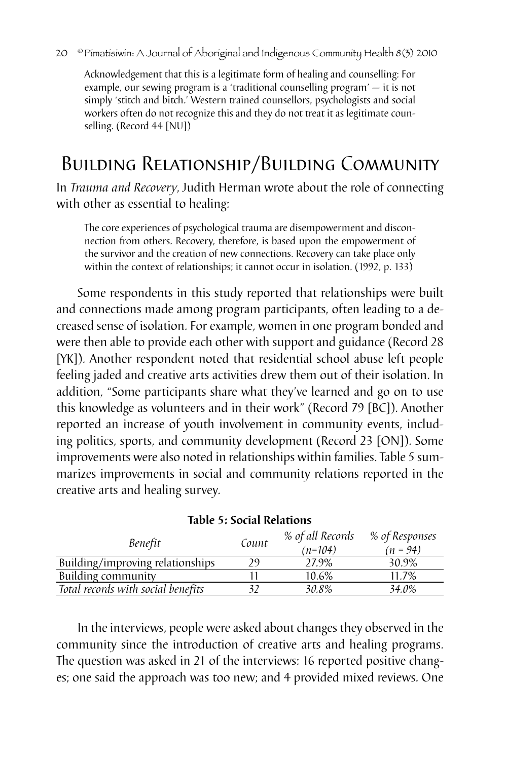#### 20 <sup>©</sup> Pimatisiwin: A Journal of Aboriginal and Indigenous Community Health 8(3) 2010

Acknowledgement that this is a legitimate form of healing and counselling: For example, our sewing program is a 'traditional counselling program' — it is not simply 'stitch and bitch.' Western trained counsellors, psychologists and social workers often do not recognize this and they do not treat it as legitimate counselling. (Record 44 [NU])

# Building Relationship/Building Community

In *Trauma and Recovery*, Judith Herman wrote about the role of connecting with other as essential to healing:

The core experiences of psychological trauma are disempowerment and disconnection from others. Recovery, therefore, is based upon the empowerment of the survivor and the creation of new connections. Recovery can take place only within the context of relationships; it cannot occur in isolation. (1992, p. 133)

Some respondents in this study reported that relationships were built and connections made among program participants, often leading to a decreased sense of isolation. For example, women in one program bonded and were then able to provide each other with support and guidance (Record 28 [YK]). Another respondent noted that residential school abuse left people feeling jaded and creative arts activities drew them out of their isolation. In addition, "Some participants share what they've learned and go on to use this knowledge as volunteers and in their work" (Record 79 [BC]). Another reported an increase of youth involvement in community events, including politics, sports, and community development (Record 23 [ON]). Some improvements were also noted in relationships within families. Table 5 summarizes improvements in social and community relations reported in the creative arts and healing survey.

| Benefit                            | Count | % of all Records<br>$(n=104)$ | % of Responses<br>$(n = 94)$ |
|------------------------------------|-------|-------------------------------|------------------------------|
| Building/improving relationships   | 29    | 27.9%                         | 30.9%                        |
| Building community                 |       | 10.6%                         | 11.7%                        |
| Total records with social benefits |       | 30.8%                         | 34.0%                        |

|  |  |  |  | <b>Table 5: Social Relations</b> |
|--|--|--|--|----------------------------------|
|--|--|--|--|----------------------------------|

In the interviews, people were asked about changes they observed in the community since the introduction of creative arts and healing programs. The question was asked in 21 of the interviews: 16 reported positive changes; one said the approach was too new; and 4 provided mixed reviews. One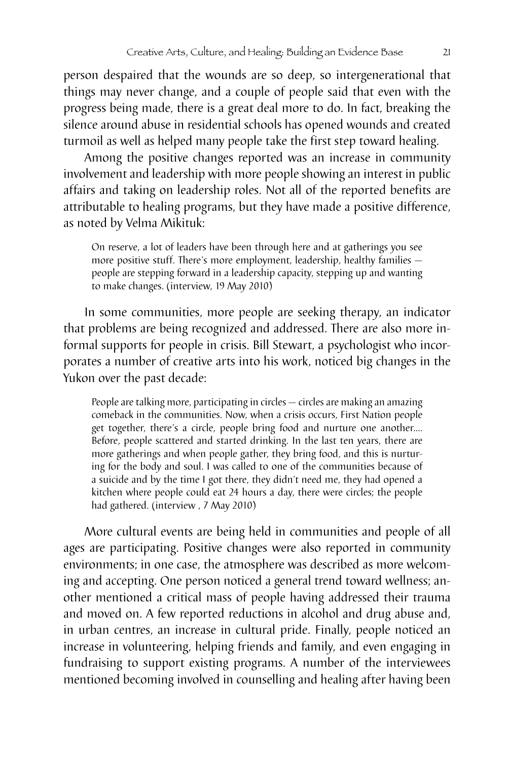person despaired that the wounds are so deep, so intergenerational that things may never change, and a couple of people said that even with the progress being made, there is a great deal more to do. In fact, breaking the silence around abuse in residential schools has opened wounds and created turmoil as well as helped many people take the first step toward healing.

Among the positive changes reported was an increase in community involvement and leadership with more people showing an interest in public affairs and taking on leadership roles. Not all of the reported benefits are attributable to healing programs, but they have made a positive difference, as noted by Velma Mikituk:

On reserve, a lot of leaders have been through here and at gatherings you see more positive stuff. There's more employment, leadership, healthy families people are stepping forward in a leadership capacity, stepping up and wanting to make changes. (interview, 19 May 2010)

In some communities, more people are seeking therapy, an indicator that problems are being recognized and addressed. There are also more informal supports for people in crisis. Bill Stewart, a psychologist who incorporates a number of creative arts into his work, noticed big changes in the Yukon over the past decade:

People are talking more, participating in circles — circles are making an amazing comeback in the communities. Now, when a crisis occurs, First Nation people get together, there's a circle, people bring food and nurture one another.… Before, people scattered and started drinking. In the last ten years, there are more gatherings and when people gather, they bring food, and this is nurturing for the body and soul. I was called to one of the communities because of a suicide and by the time I got there, they didn't need me, they had opened a kitchen where people could eat 24 hours a day, there were circles; the people had gathered. (interview , 7 May 2010)

More cultural events are being held in communities and people of all ages are participating. Positive changes were also reported in community environments; in one case, the atmosphere was described as more welcoming and accepting. One person noticed a general trend toward wellness; another mentioned a critical mass of people having addressed their trauma and moved on. A few reported reductions in alcohol and drug abuse and, in urban centres, an increase in cultural pride. Finally, people noticed an increase in volunteering, helping friends and family, and even engaging in fundraising to support existing programs. A number of the interviewees mentioned becoming involved in counselling and healing after having been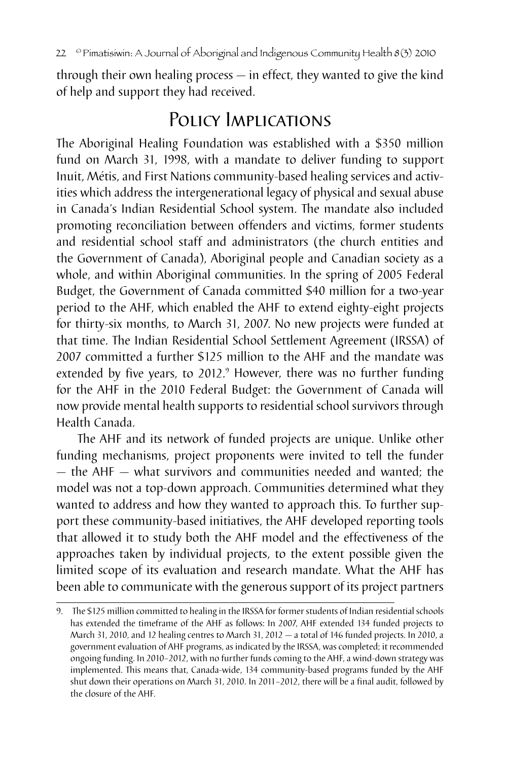through their own healing process — in effect, they wanted to give the kind of help and support they had received.

## Policy Implications

The Aboriginal Healing Foundation was established with a \$350 million fund on March 31, 1998, with a mandate to deliver funding to support Inuit, Métis, and First Nations community-based healing services and activities which address the intergenerational legacy of physical and sexual abuse in Canada's Indian Residential School system. The mandate also included promoting reconciliation between offenders and victims, former students and residential school staff and administrators (the church entities and the Government of Canada), Aboriginal people and Canadian society as a whole, and within Aboriginal communities. In the spring of 2005 Federal Budget, the Government of Canada committed \$40 million for a two-year period to the AHF, which enabled the AHF to extend eighty-eight projects for thirty-six months, to March 31, 2007. No new projects were funded at that time. The Indian Residential School Settlement Agreement (IRSSA) of 2007 committed a further \$125 million to the AHF and the mandate was extended by five years, to 2012.<sup>9</sup> However, there was no further funding for the AHF in the 2010 Federal Budget: the Government of Canada will now provide mental health supports to residential school survivors through Health Canada.

The AHF and its network of funded projects are unique. Unlike other funding mechanisms, project proponents were invited to tell the funder — the AHF — what survivors and communities needed and wanted; the model was not a top-down approach. Communities determined what they wanted to address and how they wanted to approach this. To further support these community-based initiatives, the AHF developed reporting tools that allowed it to study both the AHF model and the effectiveness of the approaches taken by individual projects, to the extent possible given the limited scope of its evaluation and research mandate. What the AHF has been able to communicate with the generous support of its project partners

<sup>9.</sup> The \$125 million committed to healing in the IRSSA for former students of Indian residential schools has extended the timeframe of the AHF as follows: In 2007, AHF extended 134 funded projects to March 31, 2010, and 12 healing centres to March 31, 2012 — a total of 146 funded projects. In 2010, a government evaluation of AHF programs, as indicated by the IRSSA, was completed; it recommended ongoing funding. In 2010–2012, with no further funds coming to the AHF, a wind-down strategy was implemented. This means that, Canada-wide, 134 community-based programs funded by the AHF shut down their operations on March 31, 2010. In 2011–2012, there will be a final audit, followed by the closure of the AHF.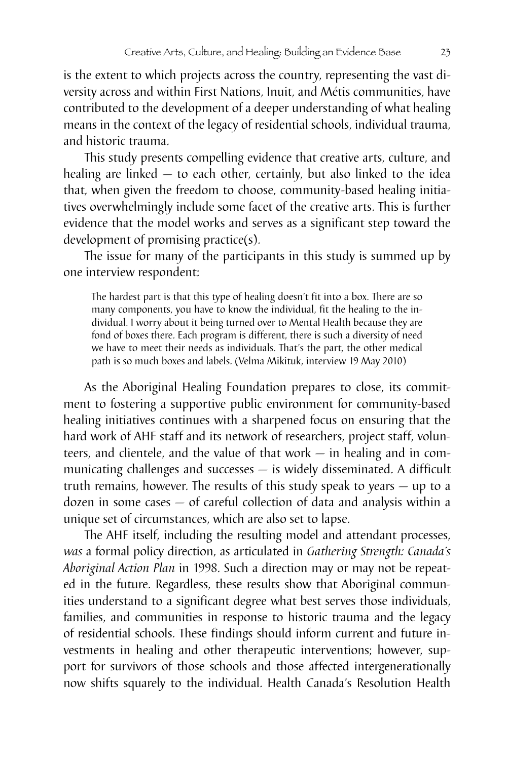is the extent to which projects across the country, representing the vast diversity across and within First Nations, Inuit, and Métis communities, have contributed to the development of a deeper understanding of what healing means in the context of the legacy of residential schools, individual trauma, and historic trauma.

This study presents compelling evidence that creative arts, culture, and healing are linked — to each other, certainly, but also linked to the idea that, when given the freedom to choose, community-based healing initiatives overwhelmingly include some facet of the creative arts. This is further evidence that the model works and serves as a significant step toward the development of promising practice(s).

The issue for many of the participants in this study is summed up by one interview respondent:

The hardest part is that this type of healing doesn't fit into a box. There are so many components, you have to know the individual, fit the healing to the individual. I worry about it being turned over to Mental Health because they are fond of boxes there. Each program is different, there is such a diversity of need we have to meet their needs as individuals. That's the part, the other medical path is so much boxes and labels. (Velma Mikituk, interview 19 May 2010)

As the Aboriginal Healing Foundation prepares to close, its commitment to fostering a supportive public environment for community-based healing initiatives continues with a sharpened focus on ensuring that the hard work of AHF staff and its network of researchers, project staff, volunteers, and clientele, and the value of that work — in healing and in communicating challenges and successes — is widely disseminated. A difficult truth remains, however. The results of this study speak to years — up to a dozen in some cases — of careful collection of data and analysis within a unique set of circumstances, which are also set to lapse.

The AHF itself, including the resulting model and attendant processes, *was* a formal policy direction, as articulated in *Gathering Strength: Canada's Aboriginal Action Plan* in 1998. Such a direction may or may not be repeated in the future. Regardless, these results show that Aboriginal communities understand to a significant degree what best serves those individuals, families, and communities in response to historic trauma and the legacy of residential schools. These findings should inform current and future investments in healing and other therapeutic interventions; however, support for survivors of those schools and those affected intergenerationally now shifts squarely to the individual. Health Canada's Resolution Health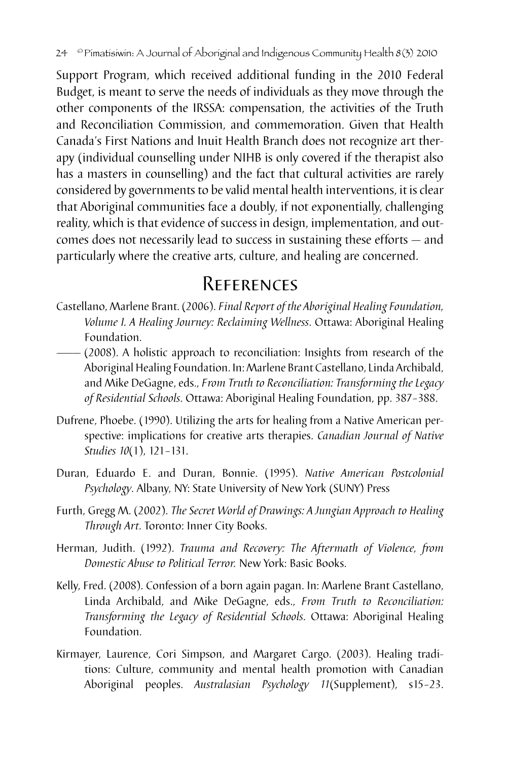Support Program, which received additional funding in the 2010 Federal Budget, is meant to serve the needs of individuals as they move through the other components of the IRSSA: compensation, the activities of the Truth and Reconciliation Commission, and commemoration. Given that Health Canada's First Nations and Inuit Health Branch does not recognize art therapy (individual counselling under NIHB is only covered if the therapist also has a masters in counselling) and the fact that cultural activities are rarely considered by governments to be valid mental health interventions, it is clear that Aboriginal communities face a doubly, if not exponentially, challenging reality, which is that evidence of success in design, implementation, and outcomes does not necessarily lead to success in sustaining these efforts — and particularly where the creative arts, culture, and healing are concerned.

## References

- Castellano, Marlene Brant. (2006). *Final Report of the Aboriginal Healing Foundation, Volume I. A Healing Journey: Reclaiming Wellness*. Ottawa: Aboriginal Healing Foundation.
- (2008). A holistic approach to reconciliation: Insights from research of the Aboriginal Healing Foundation. In: Marlene Brant Castellano, Linda Archibald, and Mike DeGagne, eds., *From Truth to Reconciliation: Transforming the Legacy of Residential Schools*. Ottawa: Aboriginal Healing Foundation, pp. 387–388.
- Dufrene, Phoebe. (1990). Utilizing the arts for healing from a Native American perspective: implications for creative arts therapies. *Canadian Journal of Native Studies 10*(1), 121–131.
- Duran, Eduardo E. and Duran, Bonnie. (1995). *Native American Postcolonial Psychology*. Albany, NY: State University of New York (SUNY) Press
- Furth, Gregg M. (2002). *The Secret World of Drawings: A Jungian Approach to Healing Through Art*. Toronto: Inner City Books.
- Herman, Judith. (1992). *Trauma and Recovery: The Aftermath of Violence, from Domestic Abuse to Political Terror.* New York: Basic Books.
- Kelly, Fred. (2008). Confession of a born again pagan. In: Marlene Brant Castellano, Linda Archibald, and Mike DeGagne, eds., *From Truth to Reconciliation: Transforming the Legacy of Residential Schools*. Ottawa: Aboriginal Healing Foundation.
- Kirmayer, Laurence, Cori Simpson, and Margaret Cargo. (2003). Healing traditions: Culture, community and mental health promotion with Canadian Aboriginal peoples. *Australasian Psychology 11*(Supplement), s15–23.